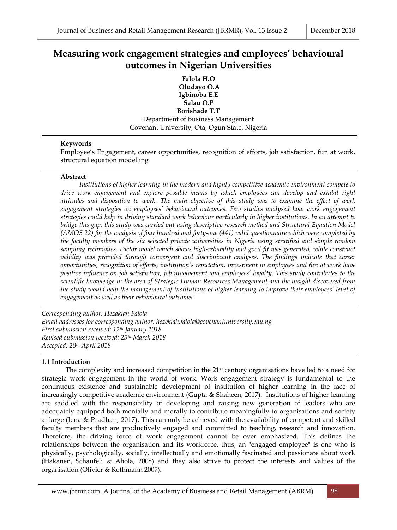# **Measuring work engagement strategies and employees' behavioural outcomes in Nigerian Universities**

**Falola H.O Oludayo O.A Igbinoba E.E Salau O.P Borishade T.T** Department of Business Management Covenant University, Ota, Ogun State, Nigeria

# **Keywords**

Employee's Engagement, career opportunities, recognition of efforts, job satisfaction, fun at work, structural equation modelling

# **Abstract**

*Institutions of higher learning in the modern and highly competitive academic environment compete to drive work engagement and explore possible means by which employees can develop and exhibit right attitudes and disposition to work. The main objective of this study was to examine the effect of work engagement strategies on employees' behavioural outcomes. Few studies analysed how work engagement strategies could help in driving standard work behaviour particularly in higher institutions. In an attempt to bridge this gap, this study was carried out using descriptive research method and Structural Equation Model (AMOS 22) for the analysis of four hundred and forty-one (441) valid questionnaire which were completed by the faculty members of the six selected private universities in Nigeria using stratified and simple random sampling techniques. Factor model which shows high-reliability and good fit was generated, while construct validity was provided through convergent and discriminant analyses. The findings indicate that career opportunities, recognition of efforts, institution's reputation, investment in employees and fun at work have positive influence on job satisfaction, job involvement and employees' loyalty. This study contributes to the scientific knowledge in the area of Strategic Human Resources Management and the insight discovered from the study would help the management of institutions of higher learning to improve their employees' level of engagement as well as their behavioural outcomes.* 

*Corresponding author: Hezakiah Falola Email addresses for corresponding author: hezekiah.falola@covenantuniversity.edu.ng First submission received: 12th January 2018 Revised submission received: 25 th March 2018 Accepted: 20 th April 2018*

# **1.1 Introduction**

The complexity and increased competition in the 21st century organisations have led to a need for strategic work engagement in the world of work. Work engagement strategy is fundamental to the continuous existence and sustainable development of institution of higher learning in the face of increasingly competitive academic environment (Gupta & Shaheen, 2017). Institutions of higher learning are saddled with the responsibility of developing and raising new generation of leaders who are adequately equipped both mentally and morally to contribute meaningfully to organisations and society at large (Jena & Pradhan, 2017). This can only be achieved with the availability of competent and skilled faculty members that are productively engaged and committed to teaching, research and innovation. Therefore, the driving force of work engagement cannot be over emphasized. This defines the relationships between the organisation and its workforce, thus, an "engaged employee" is one who is physically, psychologically, socially, intellectually and emotionally fascinated and passionate about work (Hakanen, Schaufeli & Ahola, 2008) and they also strive to protect the interests and values of the organisation (Olivier & Rothmann 2007).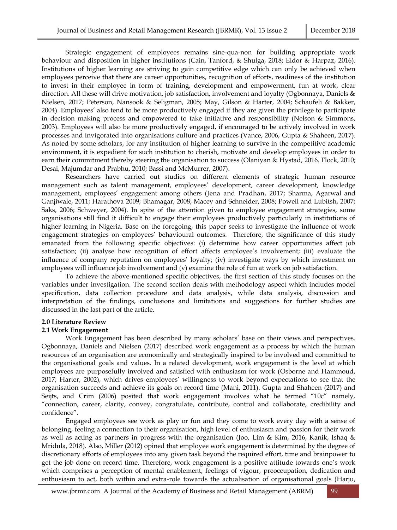Strategic engagement of employees remains sine-qua-non for building appropriate work behaviour and disposition in higher institutions (Cain, Tanford, & Shulga, 2018; Eldor & Harpaz, 2016). Institutions of higher learning are striving to gain competitive edge which can only be achieved when employees perceive that there are career opportunities, recognition of efforts, readiness of the institution to invest in their employee in form of training, development and empowerment, fun at work, clear direction. All these will drive motivation, job satisfaction, involvement and loyalty (Ogbonnaya, Daniels & Nielsen, 2017; Peterson, Nansook & Seligman, 2005; May, Gilson & Harter, 2004; Schaufeli & Bakker, 2004). Employees' also tend to be more productively engaged if they are given the privilege to participate in decision making process and empowered to take initiative and responsibility (Nelson & Simmons, 2003). Employees will also be more productively engaged, if encouraged to be actively involved in work processes and invigorated into organisations culture and practices (Vance, 2006, Gupta & Shaheen, 2017). As noted by some scholars, for any institution of higher learning to survive in the competitive academic environment, it is expedient for such institution to cherish, motivate and develop employees in order to earn their commitment thereby steering the organisation to success (Olaniyan & Hystad, 2016. Flock, 2010; Desai, Majumdar and Prabhu, 2010; Bassi and McMurrer, 2007).

Researchers have carried out studies on different elements of strategic human resource management such as talent management, employees' development, career development, knowledge management, employees' engagement among others (Jena and Pradhan, 2017; Sharma, Agarwal and Ganjiwale, 2011; Harathova 2009; Bhamagar, 2008; Macey and Schneider, 2008; Powell and Lubitsh, 2007; Saks, 2006; Schweyer, 2004). In spite of the attention given to employee engagement strategies, some organisations still find it difficult to engage their employees productively particularly in institutions of higher learning in Nigeria. Base on the foregoing, this paper seeks to investigate the influence of work engagement strategies on employees' behavioural outcomes. Therefore, the significance of this study emanated from the following specific objectives: (i) determine how career opportunities affect job satisfaction; (ii) analyse how recognition of effort affects employee's involvement; (iii) evaluate the influence of company reputation on employees' loyalty; (iv) investigate ways by which investment on employees will influence job involvement and (v) examine the role of fun at work on job satisfaction.

To achieve the above-mentioned specific objectives, the first section of this study focuses on the variables under investigation. The second section deals with methodology aspect which includes model specification, data collection procedure and data analysis, while data analysis, discussion and interpretation of the findings, conclusions and limitations and suggestions for further studies are discussed in the last part of the article.

### **2.0 Literature Review**

#### **2.1 Work Engagement**

Work Engagement has been described by many scholars' base on their views and perspectives. Ogbonnaya, Daniels and Nielsen (2017) described work engagement as a process by which the human resources of an organisation are economically and strategically inspired to be involved and committed to the organisational goals and values. In a related development, work engagement is the level at which employees are purposefully involved and satisfied with enthusiasm for work (Osborne and Hammoud, 2017; Harter, 2002), which drives employees' willingness to work beyond expectations to see that the organisation succeeds and achieve its goals on record time (Mani, 2011). Gupta and Shaheen (2017) and Seijts, and Crim (2006) posited that work engagement involves what he termed "10c" namely, "connection, career, clarity, convey, congratulate, contribute, control and collaborate, credibility and confidence".

Engaged employees see work as play or fun and they come to work every day with a sense of belonging, feeling a connection to their organisation, high level of enthusiasm and passion for their work as well as acting as partners in progress with the organisation (Joo, Lim & Kim, 2016, Kanik, Ishaq & Mridula, 2018). Also, Miller (2012) opined that employee work engagement is determined by the degree of discretionary efforts of employees into any given task beyond the required effort, time and brainpower to get the job done on record time. Therefore, work engagement is a positive attitude towards one's work which comprises a perception of mental enablement, feelings of vigour, preoccupation, dedication and enthusiasm to act, both within and extra-role towards the actualisation of organisational goals (Harju,

[www.jbrmr.com](http://www.jbrmr.com/) A Journal of the Academy of Business and Retail Management (ABRM) 99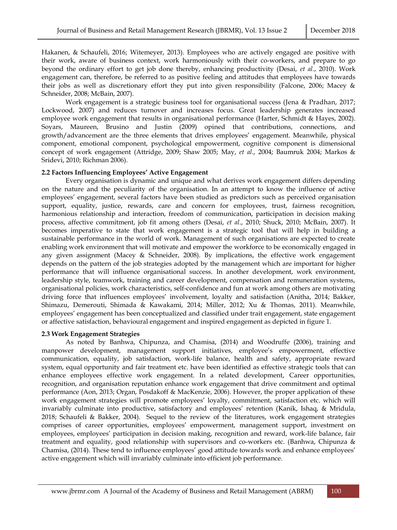Hakanen, & Schaufeli, 2016; Witemeyer, 2013). Employees who are actively engaged are positive with their work, aware of business context, work harmoniously with their co-workers, and prepare to go beyond the ordinary effort to get job done thereby, enhancing productivity (Desai, *et al.*, 2010). Work engagement can, therefore, be referred to as positive feeling and attitudes that employees have towards their jobs as well as discretionary effort they put into given responsibility (Falcone, 2006; Macey & Schneider, 2008; McBain, 2007).

Work engagement is a strategic business tool for organisational success (Jena & Pradhan, 2017; Lockwood, 2007) and reduces turnover and increases focus. Great leadership generates increased employee work engagement that results in organisational performance (Harter, Schmidt & Hayes, 2002). Soyars, Maureen, Brusino and Justin (2009) opined that contributions, connections, and growth/advancement are the three elements that drives employees' engagement. Meanwhile, physical component, emotional component, psychological empowerment, cognitive component is dimensional concept of work engagement (Attridge, 2009; Shaw 2005; May, *et al*., 2004; Baumruk 2004; Markos & Sridevi, 2010; Richman 2006).

# **2.2 Factors Influencing Employees' Active Engagement**

Every organisation is dynamic and unique and what derives work engagement differs depending on the nature and the peculiarity of the organisation. In an attempt to know the influence of active employees' engagement, several factors have been studied as predictors such as perceived organisation support, equality, justice, rewards, care and concern for employees, trust, fairness recognition, harmonious relationship and interaction, freedom of communication, participation in decision making process, affective commitment, job fit among others (Desai, *et al*., 2010; Shuck, 2010; McBain, 2007). It becomes imperative to state that work engagement is a strategic tool that will help in building a sustainable performance in the world of work. Management of such organisations are expected to create enabling work environment that will motivate and empower the workforce to be economically engaged in any given assignment (Macey & Schneider, 2008). By implications, the effective work engagement depends on the pattern of the job strategies adopted by the management which are important for higher performance that will influence organisational success. In another development, work environment, leadership style, teamwork, training and career development, compensation and remuneration systems, organisational policies, work characteristics, self-confidence and fun at work among others are motivating driving force that influences employees' involvement, loyalty and satisfaction (Anitha, 2014; Bakker, Shimazu, Demerouti, Shimada & Kawakami, 2014; Miller, 2012; Xu & Thomas, 2011). Meanwhile, employees' engagement has been conceptualized and classified under trait engagement, state engagement or affective satisfaction, behavioural engagement and inspired engagement as depicted in figure 1.

# **2.3 Work Engagement Strategies**

As noted by Banhwa, Chipunza, and Chamisa, (2014) and Woodruffe (2006), training and manpower development, management support initiatives, employee's empowerment, effective communication, equality, job satisfaction, work-life balance, health and safety, appropriate reward system, equal opportunity and fair treatment etc. have been identified as effective strategic tools that can enhance employees effective work engagement. In a related development, Career opportunities, recognition, and organisation reputation enhance work engagement that drive commitment and optimal performance (Aon, 2013; Organ, Posdakoff & MacKenzie, 2006). However, the proper application of these work engagement strategies will promote employees' loyalty, commitment, satisfaction etc. which will invariably culminate into productive, satisfactory and employees' retention (Kanik, Ishaq, & Mridula, 2018; Schaufeli & Bakker, 2004). Sequel to the review of the literatures, work engagement strategies comprises of career opportunities, employees' empowerment, management support, investment on employees, employees' participation in decision making, recognition and reward, work-life balance, fair treatment and equality, good relationship with supervisors and co-workers etc. (Banhwa, Chipunza & Chamisa, (2014). These tend to influence employees' good attitude towards work and enhance employees' active engagement which will invariably culminate into efficient job performance.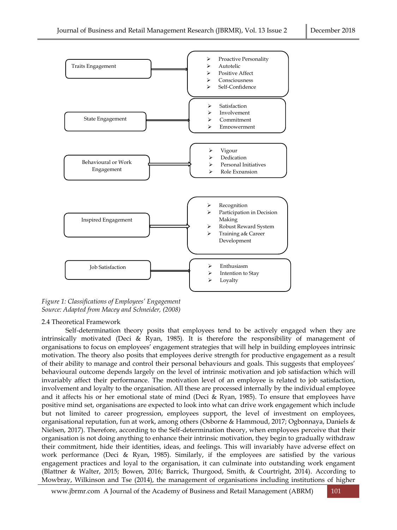

*Figure 1: Classifications of Employees' Engagement Source: Adapted from Macey and Schneider, (2008)*

# 2.4 Theoretical Framework

Self-determination theory posits that employees tend to be actively engaged when they are intrinsically motivated (Deci & Ryan, 1985). It is therefore the responsibility of management of organisations to focus on employees' engagement strategies that will help in building employees intrinsic motivation. The theory also posits that employees derive strength for productive engagement as a result of their ability to manage and control their personal behaviours and goals. This suggests that employees' behavioural outcome depends largely on the level of intrinsic motivation and job satisfaction which will invariably affect their performance. The motivation level of an employee is related to job satisfaction, involvement and loyalty to the organisation. All these are processed internally by the individual employee and it affects his or her emotional state of mind (Deci & Ryan, 1985). To ensure that employees have positive mind set, organisations are expected to look into what can drive work engagement which include but not limited to career progression, employees support, the level of investment on employees, organisational reputation, fun at work, among others (Osborne & Hammoud, 2017; Ogbonnaya, Daniels & Nielsen, 2017). Therefore, according to the Self-determination theory, when employees perceive that their organisation is not doing anything to enhance their intrinsic motivation, they begin to gradually withdraw their commitment, hide their identities, ideas, and feelings. This will invariably have adverse effect on work performance (Deci & Ryan, 1985). Similarly, if the employees are satisfied by the various engagement practices and loyal to the organisation, it can culminate into outstanding work engament (Blattner & Walter, 2015; Bowen, 2016; Barrick, Thurgood, Smith, & Courtright, 2014). According to Mowbray, Wilkinson and Tse (2014), the management of organisations including institutions of higher

[www.jbrmr.com](http://www.jbrmr.com/) A Journal of the Academy of Business and Retail Management (ABRM) 101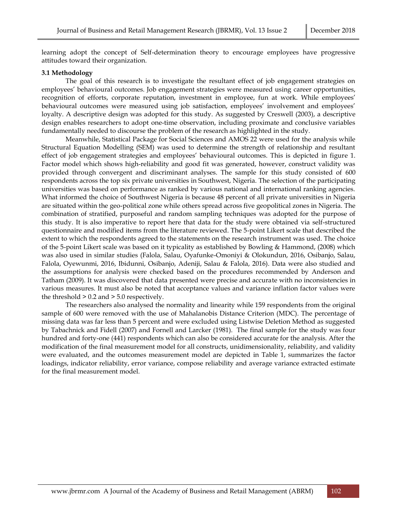learning adopt the concept of Self-determination theory to encourage employees have progressive attitudes toward their organization.

#### **3.1 Methodology**

The goal of this research is to investigate the resultant effect of job engagement strategies on employees' behavioural outcomes. Job engagement strategies were measured using career opportunities, recognition of efforts, corporate reputation, investment in employee, fun at work. While employees' behavioural outcomes were measured using job satisfaction, employees' involvement and employees' loyalty. A descriptive design was adopted for this study. As suggested by Creswell (2003), a descriptive design enables researchers to adopt one-time observation, including proximate and conclusive variables fundamentally needed to discourse the problem of the research as highlighted in the study.

Meanwhile, Statistical Package for Social Sciences and AMOS 22 were used for the analysis while Structural Equation Modelling (SEM) was used to determine the strength of relationship and resultant effect of job engagement strategies and employees' behavioural outcomes. This is depicted in figure 1. Factor model which shows high-reliability and good fit was generated, however, construct validity was provided through convergent and discriminant analyses. The sample for this study consisted of 600 respondents across the top six private universities in Southwest, Nigeria. The selection of the participating universities was based on performance as ranked by various national and international ranking agencies. What informed the choice of Southwest Nigeria is because 48 percent of all private universities in Nigeria are situated within the geo-political zone while others spread across five geopolitical zones in Nigeria. The combination of stratified, purposeful and random sampling techniques was adopted for the purpose of this study. It is also imperative to report here that data for the study were obtained via self-structured questionnaire and modified items from the literature reviewed. The 5-point Likert scale that described the extent to which the respondents agreed to the statements on the research instrument was used. The choice of the 5-point Likert scale was based on it typicality as established by Bowling & Hammond, (2008) which was also used in similar studies (Falola, Salau, Oyafunke-Omoniyi & Olokundun, 2016, Osibanjo, Salau, Falola, Oyewunmi, 2016, Ibidunni, Osibanjo, Adeniji, Salau & Falola, 2016). Data were also studied and the assumptions for analysis were checked based on the procedures recommended by Anderson and Tatham (2009). It was discovered that data presented were precise and accurate with no inconsistencies in various measures. It must also be noted that acceptance values and variance inflation factor values were the threshold > 0.2 and > 5.0 respectively.

The researchers also analysed the normality and linearity while 159 respondents from the original sample of 600 were removed with the use of Mahalanobis Distance Criterion (MDC). The percentage of missing data was far less than 5 percent and were excluded using Listwise Deletion Method as suggested by Tabachnick and Fidell (2007) and Fornell and Larcker (1981). The final sample for the study was four hundred and forty-one (441) respondents which can also be considered accurate for the analysis. After the modification of the final measurement model for all constructs, unidimensionality, reliability, and validity were evaluated, and the outcomes measurement model are depicted in Table 1, summarizes the factor loadings, indicator reliability, error variance, compose reliability and average variance extracted estimate for the final measurement model.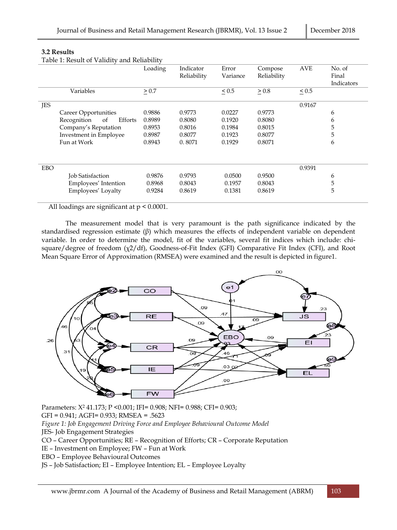# **3.2 Results**

Table 1: Result of Validity and Reliability

|            |                              | Loading    | Indicator   | Error      | Compose     | <b>AVE</b> | No. of     |
|------------|------------------------------|------------|-------------|------------|-------------|------------|------------|
|            |                              |            | Reliability | Variance   | Reliability |            | Final      |
|            |                              |            |             |            |             |            | Indicators |
|            | Variables                    | $\geq 0.7$ |             | $\leq 0.5$ | $\geq 0.8$  | $\leq 0.5$ |            |
| <b>JES</b> |                              |            |             |            |             | 0.9167     |            |
|            | Career Opportunities         | 0.9886     | 0.9773      | 0.0227     | 0.9773      |            | 6          |
|            | Recognition<br>Efforts<br>of | 0.8989     | 0.8080      | 0.1920     | 0.8080      |            | 6          |
|            | Company's Reputation         | 0.8953     | 0.8016      | 0.1984     | 0.8015      |            | 5          |
|            | Investment in Employee       | 0.8987     | 0.8077      | 0.1923     | 0.8077      |            | 5          |
|            | Fun at Work                  | 0.8943     | 0.8071      | 0.1929     | 0.8071      |            | 6          |
|            |                              |            |             |            |             |            |            |
| EBO        |                              |            |             |            |             | 0.9391     |            |
|            | Job Satisfaction             | 0.9876     | 0.9793      | 0.0500     | 0.9500      |            | 6          |
|            | Employees' Intention         | 0.8968     | 0.8043      | 0.1957     | 0.8043      |            | 5          |
|            | Employees' Loyalty           | 0.9284     | 0.8619      | 0.1381     | 0.8619      |            | 5          |
|            |                              | - - - - -  |             |            |             |            |            |

All loadings are significant at p < 0.0001.

The measurement model that is very paramount is the path significance indicated by the standardised regression estimate (β) which measures the effects of independent variable on dependent variable. In order to determine the model, fit of the variables, several fit indices which include: chisquare/degree of freedom (χ2/df), Goodness-of-Fit Index (GFI) Comparative Fit Index (CFI), and Root Mean Square Error of Approximation (RMSEA) were examined and the result is depicted in figure1.



Parameters: X<sup>2</sup> 41.173; P <0.001; IFI= 0.908; NFI= 0.988; CFI= 0.903; GFI = 0.941; AGFI= 0.933; RMSEA = .5623 *Figure 1: Job Engagement Driving Force and Employee Behavioural Outcome Model* JES- Job Engagement Strategies CO – Career Opportunities; RE – Recognition of Efforts; CR – Corporate Reputation IE – Investment on Employee; FW – Fun at Work EBO – Employee Behavioural Outcomes JS – Job Satisfaction; EI – Employee Intention; EL – Employee Loyalty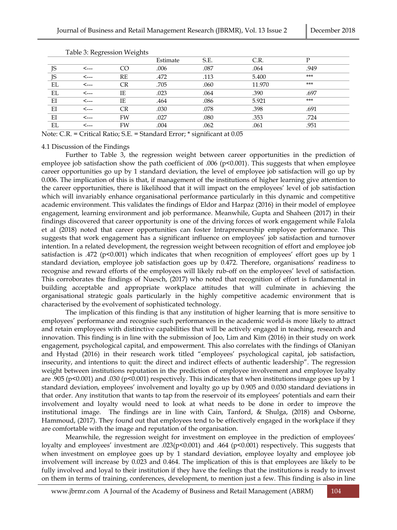|    |      |    | Estimate | S.E. | C.R.   | D     |  |
|----|------|----|----------|------|--------|-------|--|
| JS | <--- | M  | .006     | .087 | .064   | .949  |  |
| JS | <--- | RE | .472     | .113 | 5.400  | $***$ |  |
| EL | <--- | CR | .705     | .060 | 11.970 | $***$ |  |
| EL | <--- | IΕ | .023     | .064 | .390   | .697  |  |
| EI | ⊂--- | IΕ | .464     | .086 | 5.921  | $***$ |  |
| EI | ⊂--- | CR | .030     | .078 | .398   | .691  |  |
| EI | <--- | FW | .027     | .080 | .353   | .724  |  |
| EL | <--- | FW | .004     | .062 | .061   | .951  |  |

Table 3: Regression Weights

Note: C.R. = Critical Ratio; S.E. = Standard Error; \* significant at 0.05

# 4.1 Discussion of the Findings

Further to Table 3, the regression weight between career opportunities in the prediction of employee job satisfaction show the path coefficient of .006 (p<0.001). This suggests that when employee career opportunities go up by 1 standard deviation, the level of employee job satisfaction will go up by 0.006. The implication of this is that, if management of the institutions of higher learning give attention to the career opportunities, there is likelihood that it will impact on the employees' level of job satisfaction which will invariably enhance organisational performance particularly in this dynamic and competitive academic environment. This validates the findings of Eldor and Harpaz (2016) in their model of employee engagement, learning environment and job performance. Meanwhile, Gupta and Shaheen (2017) in their findings discovered that career opportunity is one of the driving forces of work engagement while Falola et al (2018) noted that career opportunities can foster Intrapreneurship employee performance. This suggests that work engagement has a significant influence on employees' job satisfaction and turnover intention. In a related development, the regression weight between recognition of effort and employee job satisfaction is .472 (p<0.001) which indicates that when recognition of employees' effort goes up by 1 standard deviation, employee job satisfaction goes up by 0.472. Therefore, organisations' readiness to recognise and reward efforts of the employees will likely rub-off on the employees' level of satisfaction. This corroborates the findings of Nuesch, (2017) who noted that recognition of effort is fundamental in building acceptable and appropriate workplace attitudes that will culminate in achieving the organisational strategic goals particularly in the highly competitive academic environment that is characterised by the evolvement of sophisticated technology.

The implication of this finding is that any institution of higher learning that is more sensitive to employees' performance and recognise such performances in the academic world is more likely to attract and retain employees with distinctive capabilities that will be actively engaged in teaching, research and innovation. This finding is in line with the submission of Joo, Lim and Kim (2016) in their study on work engagement, psychological capital, and empowerment. This also correlates with the findings of Olaniyan and Hystad (2016) in their research work titled "employees' psychological capital, job satisfaction, insecurity, and intentions to quit: the direct and indirect effects of authentic leadership". The regression weight between institutions reputation in the prediction of employee involvement and employee loyalty are .905 (p<0.001) and .030 (p<0.001) respectively. This indicates that when institutions image goes up by 1 standard deviation, employees' involvement and loyalty go up by 0.905 and 0.030 standard deviations in that order. Any institution that wants to tap from the reservoir of its employees' potentials and earn their involvement and loyalty would need to look at what needs to be done in order to improve the institutional image. The findings are in line with Cain, Tanford, & Shulga, (2018) and Osborne, Hammoud, (2017). They found out that employees tend to be effectively engaged in the workplace if they are comfortable with the image and reputation of the organisation.

Meanwhile, the regression weight for investment on employee in the prediction of employees' loyalty and employees' investment are .023(p<0.001) and .464 (p<0.001) respectively. This suggests that when investment on employee goes up by 1 standard deviation, employee loyalty and employee job involvement will increase by 0.023 and 0.464. The implication of this is that employees are likely to be fully involved and loyal to their institution if they have the feelings that the institutions is ready to invest on them in terms of training, conferences, development, to mention just a few. This finding is also in line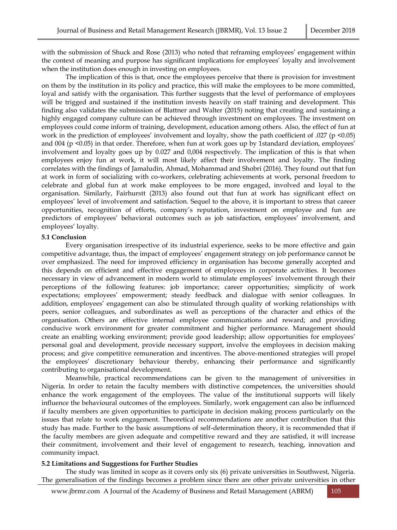with the submission of Shuck and Rose (2013) who noted that reframing employees' engagement within the context of meaning and purpose has significant implications for employees' loyalty and involvement when the institution does enough in investing on employees.

The implication of this is that, once the employees perceive that there is provision for investment on them by the institution in its policy and practice, this will make the employees to be more committed, loyal and satisfy with the organisation. This further suggests that the level of performance of employees will be trigged and sustained if the institution invests heavily on staff training and development. This finding also validates the submission of Blattner and Walter (2015) noting that creating and sustaining a highly engaged company culture can be achieved through investment on employees. The investment on employees could come inform of training, development, education among others. Also, the effect of fun at work in the prediction of employees' involvement and loyalty, show the path coefficient of .027 (p <0.05) and 004 (p <0.05) in that order. Therefore, when fun at work goes up by 1standard deviation, employees' involvement and loyalty goes up by 0.027 and 0,004 respectively. The implication of this is that when employees enjoy fun at work, it will most likely affect their involvement and loyalty. The finding correlates with the findings of Jamaludin, Ahmad, Mohammad and Shobri (2016). They found out that fun at work in form of socializing with co-workers, celebrating achievements at work, personal freedom to celebrate and global fun at work make employees to be more engaged, involved and loyal to the organisation. Similarly, Fairhurstt (2013) also found out that fun at work has significant effect on employees' level of involvement and satisfaction. Sequel to the above, it is important to stress that career opportunities, recognition of efforts, company's reputation, investment on employee and fun are predictors of employees' behavioral outcomes such as job satisfaction, employees' involvement, and employees' loyalty.

# **5.1 Conclusion**

Every organisation irrespective of its industrial experience, seeks to be more effective and gain competitive advantage, thus, the impact of employees' engagement strategy on job performance cannot be over emphasized. The need for improved efficiency in organisation has become generally accepted and this depends on efficient and effective engagement of employees in corporate activities. It becomes necessary in view of advancement in modern world to stimulate employees' involvement through their perceptions of the following features: job importance; career opportunities; simplicity of work expectations; employees' empowerment; steady feedback and dialogue with senior colleagues. In addition, employees' engagement can also be stimulated through quality of working relationships with peers, senior colleagues, and subordinates as well as perceptions of the character and ethics of the organisation. Others are effective internal employee communications and reward; and providing conducive work environment for greater commitment and higher performance. Management should create an enabling working environment; provide good leadership; allow opportunities for employees' personal goal and development, provide necessary support, involve the employees in decision making process; and give competitive remuneration and incentives. The above-mentioned strategies will propel the employees' discretionary behaviour thereby, enhancing their performance and significantly contributing to organisational development.

Meanwhile, practical recommendations can be given to the management of universities in Nigeria. In order to retain the faculty members with distinctive competences, the universities should enhance the work engagement of the employees. The value of the institutional supports will likely influence the behavioural outcomes of the employees. Similarly, work engagement can also be influenced if faculty members are given opportunities to participate in decision making process particularly on the issues that relate to work engagement. Theoretical recommendations are another contribution that this study has made. Further to the basic assumptions of self-determination theory, it is recommended that if the faculty members are given adequate and competitive reward and they are satisfied, it will increase their commitment, involvement and their level of engagement to research, teaching, innovation and community impact.

#### **5.2 Limitations and Suggestions for Further Studies**

The study was limited in scope as it covers only six (6) private universities in Southwest, Nigeria. The generalisation of the findings becomes a problem since there are other private universities in other

[www.jbrmr.com](http://www.jbrmr.com/) A Journal of the Academy of Business and Retail Management (ABRM) 105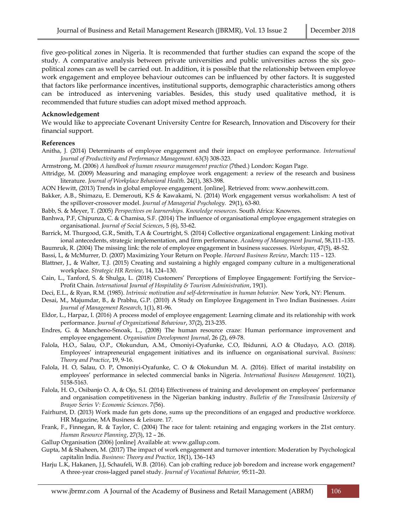five geo-political zones in Nigeria. It is recommended that further studies can expand the scope of the study. A comparative analysis between private universities and public universities across the six geopolitical zones can as well be carried out. In addition, it is possible that the relationship between employee work engagement and employee behaviour outcomes can be influenced by other factors. It is suggested that factors like performance incentives, institutional supports, demographic characteristics among others can be introduced as intervening variables. Besides, this study used qualitative method, it is recommended that future studies can adopt mixed method approach.

#### **Acknowledgement**

We would like to appreciate Covenant University Centre for Research, Innovation and Discovery for their financial support.

# **References**

- Anitha, J. (2014) Determinants of employee engagement and their impact on employee performance. *International Journal of Productivity and Performance Management*. 63(3) 308-323.
- Armstrong, M. (2006) *A handbook of human resource management practice* (7thed.) London: Kogan Page.
- Attridge, M. (2009) Measuring and managing employee work engagement: a review of the research and business literature. *Journal of Workplace Behavioral Health*. 24(1), 383-398.
- AON Hewitt, (2013) Trends in global employee engagement. [online]. Retrieved from[: www.aonhewitt.com.](http://www.aonhewitt.com/)
- Bakker, A.B., Shimazu, E. Demerouti, K.S & Kawakami, N. (2014) Work engagement versus workaholism: A test of the spillover-crossover model. *Journal of Managerial Psychology*. 29(1), 63-80.
- Babb, S. & Meyer, T. (2005) *Perspectives on learnerships. Knowledge resources*. South Africa: Knowres.
- Banhwa, P.F, Chipunza, C. & Chamisa, S.F. (2014) The influence of organisational employee engagement strategies on organisational. *Journal of Social Sciences*, 5 (6), 53-62.
- Barrick, M. Thurgood, G.R., Smith, T.A & Courtright, S. (2014) Collective organizational engagement: Linking motivat ional antecedents, strategic implementation, and firm performance. *Academy of Management Journal*, 58,111–135.
- Baumruk, R. (2004) The missing link: the role of employee engagement in business successes. *Workspan*, 47(5), 48-52.
- Bassi, L, & McMurrer, D. (2007) Maximizing Your Return on People. *Harvard Business Review*, March: 115 123.
- Blattner, J., & Walter, T.J. (2015) Creating and sustaining a highly engaged company culture in a multigenerational workplace. *Strategic HR Review*, 14, 124–130.
- Cain, L., Tanford, S. & Shulga, L. (2018) Customers' Perceptions of Employee Engagement: Fortifying the Service– Profit Chain. *[International Journal of Hospitality & Tourism Administration](http://www.tandfonline.com/toc/wjht20/current)*, 19(1).
- Deci, E.L., & Ryan, R.M. (1985). *Intrinsic motivation and self-determination in human behavior.* New York, NY: Plenum.
- Desai, M., Majumdar, B., & Prabhu, G.P. (2010) A Study on Employee Engagement in Two Indian Businesses. *Asian Journal of Management Research*, 1(1), 81-96.
- Eldor, L., Harpaz, I. (2016) A process model of employee engagement: Learning climate and its relationship with work performance. *Journal of Organizational Behaviour*, 37(2), 213-235.
- Endres, G. & Mancheno-Smoak, L., (2008) The human resource craze: Human performance improvement and employee engagement. *Organisation Development Journal*, 26 (2), 69-78.
- Falola, H.O., Salau, O.P., Olokundun, A.M., Omoniyi-Oyafunke, C.O, Ibidunni, A.O & Oludayo, A.O. (2018). Employees' intrapreneurial engagement initiatives and its influence on organisational survival. *Business: Theory and Practice*, 19, 9-16.
- Falola, H. O, Salau, O. P, Omoniyi-Oyafunke, C. O & Olokundun M. A. (2016). Effect of marital instability on employees' performance in selected commercial banks in Nigeria. *International Business Management.* 10(21), 5158-5163.
- Falola, H. O., Osibanjo O. A, & Ojo, S.I. (2014) Effectiveness of training and development on employees' performance and organisation competitiveness in the Nigerian banking industry. *Bulletin of the Transilvania University of Braşov Series V: Economic Sciences*. 7(56).
- Fairhurst, D. (2013) Work made fun gets done, sums up the preconditions of an engaged and productive workforce. HR Magazine, MA Business & Leisure. 17.
- Frank, F., Finnegan, R. & Taylor, C. (2004) The race for talent: retaining and engaging workers in the 21st century. *Human Resource Planning*, 27(3), 12 – 26.
- Gallup Organisation (2006) [online] Available at: [www.gallup.com.](http://www.gallup.com/)
- Gupta, M & Shaheen, M. (2017) The impact of work engagement and turnover intention: Moderation by Psychological capitalin India. *Business: Theory and Practice,* 18(1), 136–143
- Harju L.K, Hakanen, J.J, Schaufeli, W.B. (2016). Can job crafting reduce job boredom and increase work engagement? A three-year cross-lagged panel study. *Journal of Vocational Behavior,* 95:11–20.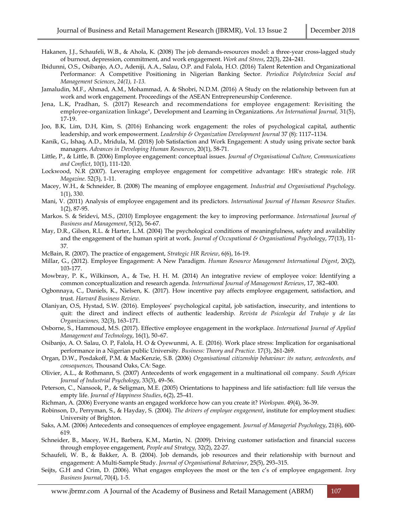- Hakanen, J.J., Schaufeli, W.B., & Ahola, K. (2008) The job demands-resources model: a three-year cross-lagged study of burnout, depression, commitment, and work engagement. *Work and Stress*, 22(3), 224–241.
- Ibidunni, O.S., Osibanjo, A.O., Adeniji, A.A., Salau, O.P. and Falola, H.O. (2016) Talent Retention and Organizational Performance: A Competitive Positioning in Nigerian Banking Sector. *Periodica Polytechnica Social and Management Sciences*, *24(1), 1-13.*
- Jamaludin, M.F., Ahmad, A.M., Mohammad, A. & Shobri, N.D.M. (2016) A Study on the relationship between fun at work and work engagement. Proceedings of the ASEAN Entrepreneurship Conference.
- Jena, L.K, Pradhan, S. (2017) Research and recommendations for employee engagement: Revisiting the employee-organization linkage", Development and Learning in Organizations*. An International Journal,* 31(5), 17-19.
- Joo, B.K, Lim, D.H, Kim, S. (2016) Enhancing work engagement: the roles of psychological capital, authentic leadership, and work empowerment. *Leadership & Organization Development Journal* 37 (8): 1117–1134.
- Kanik, G., Ishaq, A.D., Mridula, M. (2018) Job Satisfaction and Work Engagement: A study using private sector bank managers. *Advances in Developing Human Resources*, 20(1), 58-71.
- Little, P., & Little, B. (2006) Employee engagement: conceptual issues. *Journal of Organisational Culture, Communications and Conflict*, 10(1), 111-120.
- Lockwood, N.R (2007). Leveraging employee engagement for competitive advantage: HR's strategic role. *HR Magazine*. 52(3), 1-11.
- Macey, W.H., & Schneider, B. (2008) The meaning of employee engagement. *Industrial and Organisational Psychology*. 1(1), 330.
- Mani, V. (2011) Analysis of employee engagement and its predictors. *International Journal of Human Resource Studies*. 1(2), 87-95.
- Markos. S. & Sridevi, M.S., (2010) Employee engagement: the key to improving performance. *International Journal of Business and Management*, 5(12), 56-67.
- May, D.R., Gilson, R.L. & Harter, L.M. (2004) The psychological conditions of meaningfulness, safety and availability and the engagement of the human spirit at work. *Journal of Occupational & Organisational Psychology*, 77(13), 11- 37.
- McBain, R. (2007). The practice of engagement, *Strategic HR Review*, 6(6), 16-19.
- Millar, G., (2012). Employee Engagement: A New Paradigm. *Human Resource Management International Digest*, 20(2), 103-177.
- Mowbray, P. K., Wilkinson, A., & Tse, H. H. M. (2014) An integrative review of employee voice: Identifying a common conceptualization and research agenda. *International Journal of Management Reviews*, 17, 382–400.
- Ogbonnaya, C., Daniels, K., Nielsen, K. (2017). How incentive pay affects employee engagement, satisfaction, and trust. *Harvard Business Review.*
- Olaniyan, O.S, Hystad, S.W. (2016). Employees' psychological capital, job satisfaction, insecurity, and intentions to quit: the direct and indirect effects of authentic leadership. *Revista de Psicologia del Trabajo y de las Organizaciones,* 32(3), 163–171.
- Osborne, S., Hammoud, M.S. (2017). Effective employee engagement in the workplace. *International Journal of Applied Management and Technology*, 16(1), 50–67.
- Osibanjo, A. O. Salau, O. P, Falola, H. O & Oyewunmi, A. E. (2016). Work place stress: Implication for organisational performance in a Nigerian public University. *Business: Theory and Practice.* 17(3), 261-269.
- Organ, D.W., Posdakoff, P.M. & MacKenzie, S.B. (2006) *Organisational citizenship behaviour: its nature, antecedents, and consequences,* Thousand Oaks, CA: Sage.
- Olivier, A.L., & Rothmann, S. (2007) Antecedents of work engagement in a multinational oil company. *South African Journal of Industrial Psychology*, 33(3), 49–56.
- Peterson, C., Nansook, P., & Seligman, M.E. (2005) Orientations to happiness and life satisfaction: full life versus the empty life. *Journal of Happiness Studies*, 6(2), 25–41.
- Richman, A. (2006) Everyone wants an engaged workforce how can you create it? *Workspan*. 49(4), 36-39.
- Robinson, D., Perryman, S., & Hayday, S. (2004). *The drivers of employee engagement*, institute for employment studies: University of Brighton.
- Saks, A.M. (2006) Antecedents and consequences of employee engagement. *Journal of Managerial Psychology*, 21(6), 600- 619.
- Schneider, B., Macey, W.H., Barbera, K.M., Martin, N. (2009). Driving customer satisfaction and financial success through employee engagement, *People and Strategy,* 32(2), 22-27.
- Schaufeli, W. B., & Bakker, A. B. (2004). Job demands, job resources and their relationship with burnout and engagement: A Multi-Sample Study. *Journal of Organisational Behaviour*, 25(5), 293–315.
- Seijts, G.H and Crim, D. (2006). What engages employees the most or the ten c's of employee engagement. *Ivey Business Journal*, 70(4), 1-5.